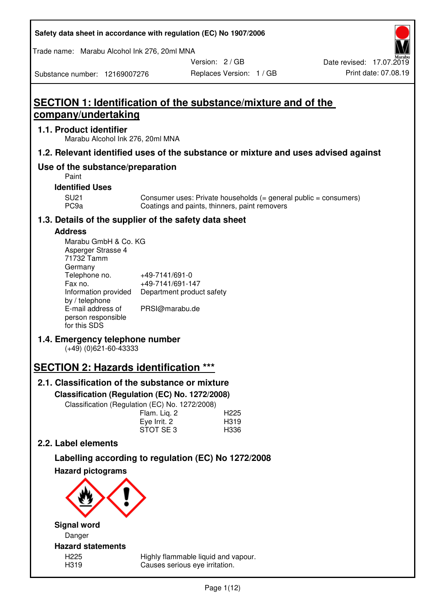| Safety data sheet in accordance with regulation (EC) No 1907/2006 |  |
|-------------------------------------------------------------------|--|
|-------------------------------------------------------------------|--|

Trade name: Marabu Alcohol Ink 276, 20ml MNA

Version: 2 / GB

Substance number: 12169007276

# **SECTION 1: Identification of the substance/mixture and of the company/undertaking**

## **1.1. Product identifier**

Marabu Alcohol Ink 276, 20ml MNA

## **1.2. Relevant identified uses of the substance or mixture and uses advised against**

## **Use of the substance/preparation**

Paint

## **Identified Uses**

SU21 Consumer uses: Private households (= general public = consumers)<br>PC9a Coatings and paints, thinners, paint removers Coatings and paints, thinners, paint removers

## **1.3. Details of the supplier of the safety data sheet**

## **Address**

| Marabu GmbH & Co. KG |                           |
|----------------------|---------------------------|
| Asperger Strasse 4   |                           |
| 71732 Tamm           |                           |
| Germany              |                           |
| Telephone no.        | +49-7141/691-0            |
| Fax no.              | +49-7141/691-147          |
| Information provided | Department product safety |
| by / telephone       |                           |
| E-mail address of    | PRSI@marabu.de            |
| person responsible   |                           |
| for this SDS         |                           |

## **1.4. Emergency telephone number**

(+49) (0)621-60-43333

# **SECTION 2: Hazards identification \*\*\***

# **2.1. Classification of the substance or mixture**

**Classification (Regulation (EC) No. 1272/2008)** 

Classification (Regulation (EC) No. 1272/2008)

|              | . |                  |
|--------------|---|------------------|
| Flam. Liq. 2 |   | H <sub>225</sub> |
| Eye Irrit. 2 |   | H319             |
| STOT SE3     |   | H336             |
|              |   |                  |

## **2.2. Label elements**

# **Labelling according to regulation (EC) No 1272/2008**



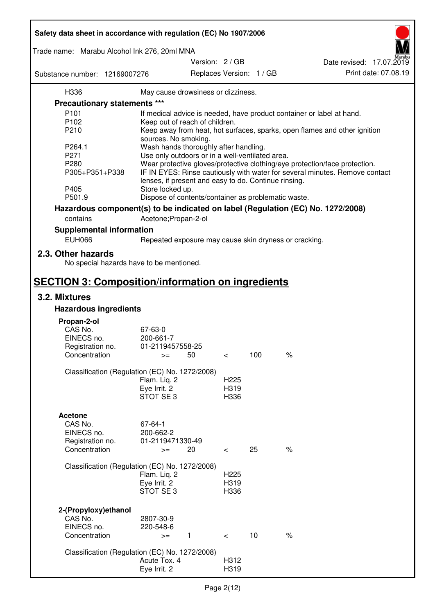| Safety data sheet in accordance with regulation (EC) No 1907/2006 |                                                       |                          |                          |                                                                                 |
|-------------------------------------------------------------------|-------------------------------------------------------|--------------------------|--------------------------|---------------------------------------------------------------------------------|
| Trade name: Marabu Alcohol Ink 276, 20ml MNA                      |                                                       |                          |                          |                                                                                 |
|                                                                   |                                                       | Version: 2 / GB          |                          | Date revised: 17.07.2019                                                        |
| Substance number: 12169007276                                     |                                                       |                          | Replaces Version: 1 / GB | Print date: 07.08.19                                                            |
| H336                                                              | May cause drowsiness or dizziness.                    |                          |                          |                                                                                 |
| Precautionary statements ***                                      |                                                       |                          |                          |                                                                                 |
| P <sub>101</sub>                                                  |                                                       |                          |                          | If medical advice is needed, have product container or label at hand.           |
| P <sub>102</sub>                                                  | Keep out of reach of children.                        |                          |                          |                                                                                 |
| P210                                                              |                                                       |                          |                          | Keep away from heat, hot surfaces, sparks, open flames and other ignition       |
|                                                                   | sources. No smoking.                                  |                          |                          |                                                                                 |
| P264.1                                                            | Wash hands thoroughly after handling.                 |                          |                          |                                                                                 |
| P271                                                              | Use only outdoors or in a well-ventilated area.       |                          |                          |                                                                                 |
| P280                                                              |                                                       |                          |                          | Wear protective gloves/protective clothing/eye protection/face protection.      |
| P305+P351+P338                                                    | lenses, if present and easy to do. Continue rinsing.  |                          |                          | IF IN EYES: Rinse cautiously with water for several minutes. Remove contact     |
| P405                                                              | Store locked up.                                      |                          |                          |                                                                                 |
| P501.9                                                            | Dispose of contents/container as problematic waste.   |                          |                          |                                                                                 |
|                                                                   |                                                       |                          |                          | Hazardous component(s) to be indicated on label (Regulation (EC) No. 1272/2008) |
| contains                                                          | Acetone; Propan-2-ol                                  |                          |                          |                                                                                 |
| <b>Supplemental information</b>                                   |                                                       |                          |                          |                                                                                 |
| <b>EUH066</b>                                                     | Repeated exposure may cause skin dryness or cracking. |                          |                          |                                                                                 |
| 2.3. Other hazards<br>No special hazards have to be mentioned.    |                                                       |                          |                          |                                                                                 |
| <b>SECTION 3: Composition/information on ingredients</b>          |                                                       |                          |                          |                                                                                 |
| 3.2. Mixtures                                                     |                                                       |                          |                          |                                                                                 |
| <b>Hazardous ingredients</b>                                      |                                                       |                          |                          |                                                                                 |
|                                                                   |                                                       |                          |                          |                                                                                 |
| Propan-2-ol<br>CAS No.                                            | 67-63-0                                               |                          |                          |                                                                                 |
| EINECS no.                                                        | 200-661-7                                             |                          |                          |                                                                                 |
| Registration no.                                                  | 01-2119457558-25                                      |                          |                          |                                                                                 |
| Concentration                                                     | 50<br>$>=$                                            | $\,<\,$                  | 100                      | $\%$                                                                            |
|                                                                   |                                                       |                          |                          |                                                                                 |
| Classification (Regulation (EC) No. 1272/2008)                    |                                                       |                          |                          |                                                                                 |
|                                                                   | Flam. Liq. 2                                          | H <sub>225</sub>         |                          |                                                                                 |
|                                                                   | Eye Irrit. 2                                          | H319                     |                          |                                                                                 |
|                                                                   | STOT SE3                                              | H336                     |                          |                                                                                 |
|                                                                   |                                                       |                          |                          |                                                                                 |
| <b>Acetone</b>                                                    |                                                       |                          |                          |                                                                                 |
| CAS No.                                                           | 67-64-1                                               |                          |                          |                                                                                 |
| EINECS no.                                                        | 200-662-2                                             |                          |                          |                                                                                 |
| Registration no.                                                  | 01-2119471330-49                                      |                          |                          |                                                                                 |
| Concentration                                                     | 20<br>$>=$                                            | $\overline{\phantom{0}}$ | 25                       | $\%$                                                                            |
|                                                                   |                                                       |                          |                          |                                                                                 |
| Classification (Regulation (EC) No. 1272/2008)                    |                                                       |                          |                          |                                                                                 |
|                                                                   | Flam. Liq. 2                                          | H <sub>225</sub>         |                          |                                                                                 |
|                                                                   | Eye Irrit. 2                                          | H319                     |                          |                                                                                 |
|                                                                   | STOT SE 3                                             | H336                     |                          |                                                                                 |
|                                                                   |                                                       |                          |                          |                                                                                 |
| 2-(Propyloxy) ethanol                                             |                                                       |                          |                          |                                                                                 |
| CAS No.<br>EINECS no.                                             | 2807-30-9                                             |                          |                          |                                                                                 |
| Concentration                                                     | 220-548-6                                             |                          | 10                       | $\%$                                                                            |
|                                                                   | 1<br>$>=$                                             | $\prec$                  |                          |                                                                                 |
| Classification (Regulation (EC) No. 1272/2008)                    |                                                       |                          |                          |                                                                                 |
|                                                                   | Acute Tox. 4                                          | H312                     |                          |                                                                                 |
|                                                                   | Eye Irrit. 2                                          | H319                     |                          |                                                                                 |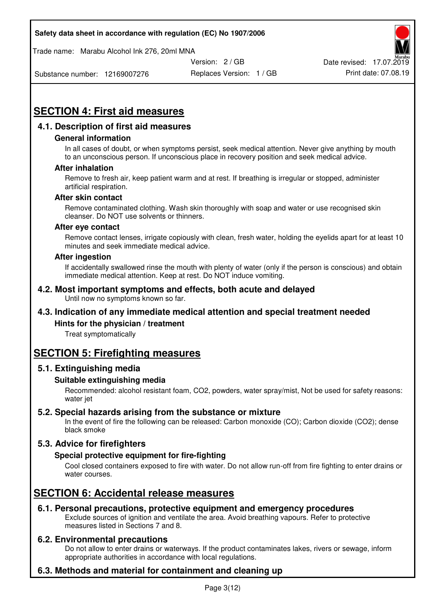Trade name: Marabu Alcohol Ink 276, 20ml MNA



Substance number: 12169007276

Replaces Version: 1 / GB Print date: 07.08.19

# **SECTION 4: First aid measures**

## **4.1. Description of first aid measures**

## **General information**

In all cases of doubt, or when symptoms persist, seek medical attention. Never give anything by mouth to an unconscious person. If unconscious place in recovery position and seek medical advice.

#### **After inhalation**

Remove to fresh air, keep patient warm and at rest. If breathing is irregular or stopped, administer artificial respiration.

#### **After skin contact**

Remove contaminated clothing. Wash skin thoroughly with soap and water or use recognised skin cleanser. Do NOT use solvents or thinners.

#### **After eye contact**

Remove contact lenses, irrigate copiously with clean, fresh water, holding the eyelids apart for at least 10 minutes and seek immediate medical advice.

#### **After ingestion**

If accidentally swallowed rinse the mouth with plenty of water (only if the person is conscious) and obtain immediate medical attention. Keep at rest. Do NOT induce vomiting.

#### **4.2. Most important symptoms and effects, both acute and delayed**  Until now no symptoms known so far.

## **4.3. Indication of any immediate medical attention and special treatment needed**

## **Hints for the physician / treatment**

Treat symptomatically

# **SECTION 5: Firefighting measures**

## **5.1. Extinguishing media**

## **Suitable extinguishing media**

Recommended: alcohol resistant foam, CO2, powders, water spray/mist, Not be used for safety reasons: water jet

## **5.2. Special hazards arising from the substance or mixture**

In the event of fire the following can be released: Carbon monoxide (CO); Carbon dioxide (CO2); dense black smoke

## **5.3. Advice for firefighters**

## **Special protective equipment for fire-fighting**

Cool closed containers exposed to fire with water. Do not allow run-off from fire fighting to enter drains or water courses.

# **SECTION 6: Accidental release measures**

## **6.1. Personal precautions, protective equipment and emergency procedures**

Exclude sources of ignition and ventilate the area. Avoid breathing vapours. Refer to protective measures listed in Sections 7 and 8.

## **6.2. Environmental precautions**

Do not allow to enter drains or waterways. If the product contaminates lakes, rivers or sewage, inform appropriate authorities in accordance with local regulations.

## **6.3. Methods and material for containment and cleaning up**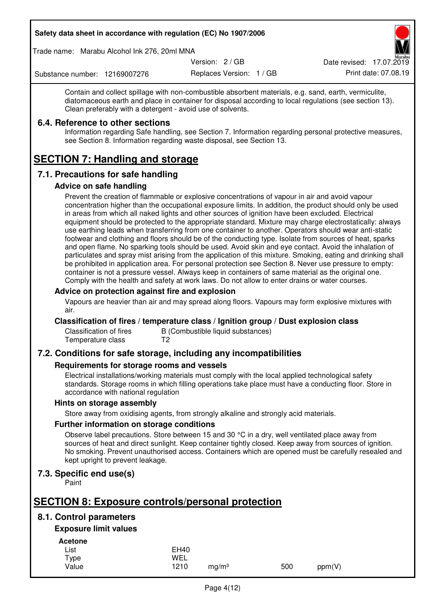Trade name: Marabu Alcohol Ink 276, 20ml MNA

Version: 2 / GB

Replaces Version: 1 / GB Print date: 07.08.19 Date revised: 17.07.2019

Substance number: 12169007276

Contain and collect spillage with non-combustible absorbent materials, e.g. sand, earth, vermiculite, diatomaceous earth and place in container for disposal according to local regulations (see section 13). Clean preferably with a detergent - avoid use of solvents.

## **6.4. Reference to other sections**

Information regarding Safe handling, see Section 7. Information regarding personal protective measures, see Section 8. Information regarding waste disposal, see Section 13.

# **SECTION 7: Handling and storage**

## **7.1. Precautions for safe handling**

## **Advice on safe handling**

Prevent the creation of flammable or explosive concentrations of vapour in air and avoid vapour concentration higher than the occupational exposure limits. In addition, the product should only be used in areas from which all naked lights and other sources of ignition have been excluded. Electrical equipment should be protected to the appropriate standard. Mixture may charge electrostatically: always use earthing leads when transferring from one container to another. Operators should wear anti-static footwear and clothing and floors should be of the conducting type. Isolate from sources of heat, sparks and open flame. No sparking tools should be used. Avoid skin and eye contact. Avoid the inhalation of particulates and spray mist arising from the application of this mixture. Smoking, eating and drinking shall be prohibited in application area. For personal protection see Section 8. Never use pressure to empty: container is not a pressure vessel. Always keep in containers of same material as the original one. Comply with the health and safety at work laws. Do not allow to enter drains or water courses.

## **Advice on protection against fire and explosion**

Vapours are heavier than air and may spread along floors. Vapours may form explosive mixtures with air.

## **Classification of fires / temperature class / Ignition group / Dust explosion class**

Classification of fires B (Combustible liquid substances)<br>Temperature class T2 Temperature class

## **7.2. Conditions for safe storage, including any incompatibilities**

## **Requirements for storage rooms and vessels**

Electrical installations/working materials must comply with the local applied technological safety standards. Storage rooms in which filling operations take place must have a conducting floor. Store in accordance with national regulation

## **Hints on storage assembly**

Store away from oxidising agents, from strongly alkaline and strongly acid materials.

## **Further information on storage conditions**

Observe label precautions. Store between 15 and 30 °C in a dry, well ventilated place away from sources of heat and direct sunlight. Keep container tightly closed. Keep away from sources of ignition. No smoking. Prevent unauthorised access. Containers which are opened must be carefully resealed and kept upright to prevent leakage.

## **7.3. Specific end use(s)**

Paint

# **SECTION 8: Exposure controls/personal protection**

## **8.1. Control parameters**

## **Exposure limit values**

**Acetone** 

| List  | <b>EH40</b> |                   |     |        |
|-------|-------------|-------------------|-----|--------|
| Type  | WEL         |                   |     |        |
| Value | 1210        | mg/m <sup>3</sup> | 500 | ppm(V) |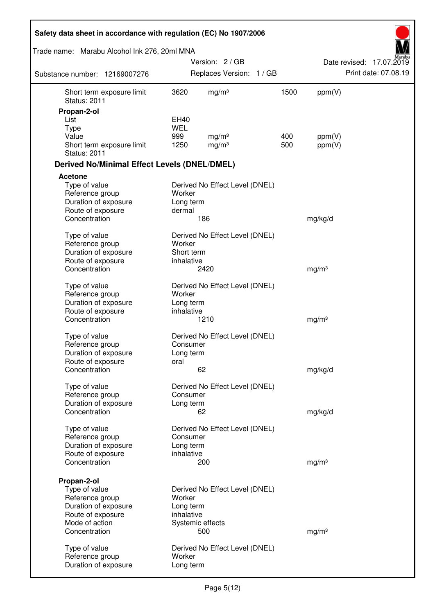| Safety data sheet in accordance with regulation (EC) No 1907/2006 |                          |                                |      |                   |                          |
|-------------------------------------------------------------------|--------------------------|--------------------------------|------|-------------------|--------------------------|
| Trade name: Marabu Alcohol Ink 276, 20ml MNA                      |                          |                                |      |                   |                          |
|                                                                   |                          | Version: 2/GB                  |      |                   | Date revised: 17.07.2019 |
| Substance number: 12169007276                                     |                          | Replaces Version: 1 / GB       |      |                   | Print date: 07.08.19     |
| Short term exposure limit<br><b>Status: 2011</b>                  | 3620                     | mg/m <sup>3</sup>              | 1500 | ppm(V)            |                          |
| Propan-2-ol                                                       |                          |                                |      |                   |                          |
| List                                                              | EH40                     |                                |      |                   |                          |
| <b>Type</b><br>Value                                              | <b>WEL</b><br>999        | mg/m <sup>3</sup>              | 400  | ppm(V)            |                          |
| Short term exposure limit<br><b>Status: 2011</b>                  | 1250                     | mg/m <sup>3</sup>              | 500  | ppm(V)            |                          |
| <b>Derived No/Minimal Effect Levels (DNEL/DMEL)</b>               |                          |                                |      |                   |                          |
| <b>Acetone</b>                                                    |                          |                                |      |                   |                          |
| Type of value<br>Reference group<br>Duration of exposure          | Worker<br>Long term      | Derived No Effect Level (DNEL) |      |                   |                          |
| Route of exposure                                                 | dermal                   |                                |      |                   |                          |
| Concentration                                                     |                          | 186                            |      | mg/kg/d           |                          |
| Type of value<br>Reference group                                  | Worker                   | Derived No Effect Level (DNEL) |      |                   |                          |
| Duration of exposure<br>Route of exposure                         | Short term<br>inhalative |                                |      |                   |                          |
| Concentration                                                     |                          | 2420                           |      | mg/m <sup>3</sup> |                          |
| Type of value<br>Reference group                                  | Worker                   | Derived No Effect Level (DNEL) |      |                   |                          |
| Duration of exposure                                              | Long term                |                                |      |                   |                          |
| Route of exposure                                                 | inhalative               |                                |      |                   |                          |
| Concentration                                                     |                          | 1210                           |      | mg/m <sup>3</sup> |                          |
| Type of value                                                     |                          | Derived No Effect Level (DNEL) |      |                   |                          |
| Reference group                                                   | Consumer                 |                                |      |                   |                          |
| Duration of exposure                                              | Long term                |                                |      |                   |                          |
| Route of exposure<br>Concentration                                | oral                     | 62                             |      | mg/kg/d           |                          |
|                                                                   |                          |                                |      |                   |                          |
| Type of value<br>Reference group                                  | Consumer                 | Derived No Effect Level (DNEL) |      |                   |                          |
| Duration of exposure                                              | Long term                |                                |      |                   |                          |
| Concentration                                                     |                          | 62                             |      | mg/kg/d           |                          |
| Type of value                                                     |                          | Derived No Effect Level (DNEL) |      |                   |                          |
| Reference group                                                   | Consumer                 |                                |      |                   |                          |
| Duration of exposure                                              | Long term                |                                |      |                   |                          |
| Route of exposure                                                 | inhalative               |                                |      |                   |                          |
| Concentration                                                     |                          | 200                            |      | mg/m <sup>3</sup> |                          |
| Propan-2-ol                                                       |                          |                                |      |                   |                          |
| Type of value                                                     |                          | Derived No Effect Level (DNEL) |      |                   |                          |
| Reference group                                                   | Worker                   |                                |      |                   |                          |
| Duration of exposure                                              | Long term<br>inhalative  |                                |      |                   |                          |
| Route of exposure<br>Mode of action                               |                          | Systemic effects               |      |                   |                          |
| Concentration                                                     |                          | 500                            |      | mg/m <sup>3</sup> |                          |
|                                                                   |                          | Derived No Effect Level (DNEL) |      |                   |                          |
| Type of value<br>Reference group                                  | Worker                   |                                |      |                   |                          |
| Duration of exposure                                              | Long term                |                                |      |                   |                          |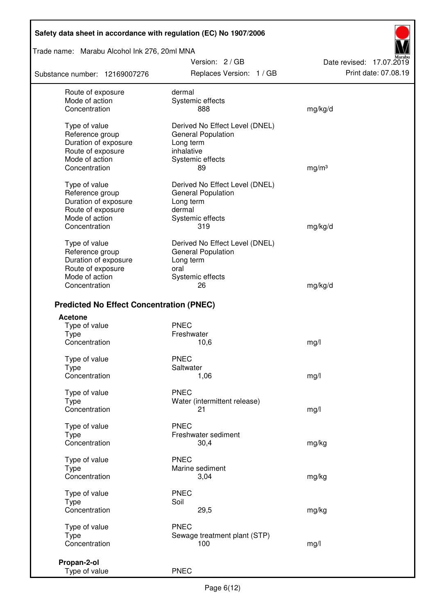## Trade name: Marabu Alcohol Ink 276, 20ml MNA

Substance number: 12169007276

Version: 2 / GB Replaces Version: 1 / GB Print date: 07.08.19



| Route of exposure<br>Mode of action             | dermal<br>Systemic effects                                  |                   |
|-------------------------------------------------|-------------------------------------------------------------|-------------------|
| Concentration                                   | 888                                                         | mg/kg/d           |
| Type of value<br>Reference group                | Derived No Effect Level (DNEL)<br><b>General Population</b> |                   |
| Duration of exposure                            | Long term                                                   |                   |
| Route of exposure                               | inhalative                                                  |                   |
| Mode of action<br>Concentration                 | Systemic effects<br>89                                      | mg/m <sup>3</sup> |
|                                                 |                                                             |                   |
| Type of value<br>Reference group                | Derived No Effect Level (DNEL)<br><b>General Population</b> |                   |
| Duration of exposure                            | Long term                                                   |                   |
| Route of exposure                               | dermal                                                      |                   |
| Mode of action<br>Concentration                 | Systemic effects<br>319                                     | mg/kg/d           |
|                                                 |                                                             |                   |
| Type of value<br>Reference group                | Derived No Effect Level (DNEL)<br><b>General Population</b> |                   |
| Duration of exposure                            | Long term                                                   |                   |
| Route of exposure                               | oral                                                        |                   |
| Mode of action<br>Concentration                 | Systemic effects<br>26                                      | mg/kg/d           |
|                                                 |                                                             |                   |
| <b>Predicted No Effect Concentration (PNEC)</b> |                                                             |                   |
| <b>Acetone</b>                                  |                                                             |                   |
| Type of value<br><b>Type</b>                    | <b>PNEC</b><br>Freshwater                                   |                   |
| Concentration                                   | 10,6                                                        | mg/l              |
| Type of value                                   | <b>PNEC</b>                                                 |                   |
| <b>Type</b><br>Concentration                    | Saltwater<br>1,06                                           | mg/l              |
|                                                 |                                                             |                   |
| Type of value<br>Type                           | <b>PNEC</b><br>Water (intermittent release)                 |                   |
| Concentration                                   | 21                                                          | mg/l              |
|                                                 |                                                             |                   |
| Type of value<br><b>Type</b>                    | <b>PNEC</b><br>Freshwater sediment                          |                   |
| Concentration                                   | 30,4                                                        | mg/kg             |
| Type of value                                   | <b>PNEC</b>                                                 |                   |
| <b>Type</b>                                     | Marine sediment                                             |                   |
| Concentration                                   | 3,04                                                        | mg/kg             |
| Type of value                                   | <b>PNEC</b>                                                 |                   |
| Type<br>Concentration                           | Soil                                                        |                   |
|                                                 | 29,5                                                        | mg/kg             |
| Type of value                                   | <b>PNEC</b>                                                 |                   |
| <b>Type</b><br>Concentration                    | Sewage treatment plant (STP)<br>100                         | mg/l              |
|                                                 |                                                             |                   |
| Propan-2-ol                                     |                                                             |                   |
| Type of value                                   | <b>PNEC</b>                                                 |                   |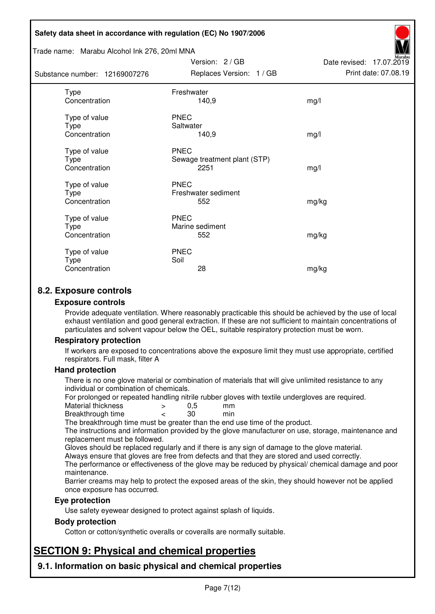#### Trade name: Marabu Alcohol Ink 276, 20ml MNA

Subst

| ance number: 12169007276               | Replaces Version: 1 / GB                            | Print date: 07.08.19 |
|----------------------------------------|-----------------------------------------------------|----------------------|
| <b>Type</b><br>Concentration           | Freshwater<br>140,9                                 | mg/l                 |
| Type of value<br>Type<br>Concentration | <b>PNEC</b><br>Saltwater<br>140,9                   | mg/l                 |
| Type of value<br>Type<br>Concentration | <b>PNEC</b><br>Sewage treatment plant (STP)<br>2251 | mg/l                 |
| Type of value<br>Type<br>Concentration | <b>PNEC</b><br>Freshwater sediment<br>552           | mg/kg                |
| Type of value<br>Type<br>Concentration | <b>PNEC</b><br>Marine sediment<br>552               | mg/kg                |
| Type of value<br>Type<br>Concentration | <b>PNEC</b><br>Soil<br>28                           | mg/kg                |

Version: 2 / GB

Date revised: 17.07.2019

## **8.2. Exposure controls**

#### **Exposure controls**

Provide adequate ventilation. Where reasonably practicable this should be achieved by the use of local exhaust ventilation and good general extraction. If these are not sufficient to maintain concentrations of particulates and solvent vapour below the OEL, suitable respiratory protection must be worn.

## **Respiratory protection**

If workers are exposed to concentrations above the exposure limit they must use appropriate, certified respirators. Full mask, filter A

#### **Hand protection**

There is no one glove material or combination of materials that will give unlimited resistance to any individual or combination of chemicals.

For prolonged or repeated handling nitrile rubber gloves with textile undergloves are required.<br>Material thickness  $\geq 0.5$  mm

- Material thickness  $\begin{array}{ccc} 0.5 \\ -8.5 \end{array}$  Material thickness  $\begin{array}{ccc} 0.5 \\ -8.5 \end{array}$
- Breakthrough time < 30 min

The breakthrough time must be greater than the end use time of the product.

The instructions and information provided by the glove manufacturer on use, storage, maintenance and replacement must be followed.

Gloves should be replaced regularly and if there is any sign of damage to the glove material.

Always ensure that gloves are free from defects and that they are stored and used correctly.

The performance or effectiveness of the glove may be reduced by physical/ chemical damage and poor maintenance.

Barrier creams may help to protect the exposed areas of the skin, they should however not be applied once exposure has occurred.

## **Eye protection**

Use safety eyewear designed to protect against splash of liquids.

## **Body protection**

Cotton or cotton/synthetic overalls or coveralls are normally suitable.

# **SECTION 9: Physical and chemical properties**

**9.1. Information on basic physical and chemical properties**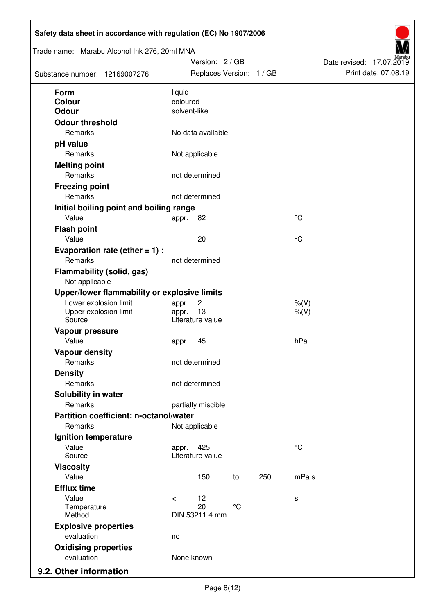| Trade name: Marabu Alcohol Ink 276, 20ml MNA<br>Substance number: 12169007276 |                          | Version: 2 / GB<br>Replaces Version: 1 / GB |                 |     |                    | Date revised: 17.07.2019 | Print date: 07.08.19 |
|-------------------------------------------------------------------------------|--------------------------|---------------------------------------------|-----------------|-----|--------------------|--------------------------|----------------------|
| <b>Form</b>                                                                   | liquid                   |                                             |                 |     |                    |                          |                      |
| Colour<br><b>Odour</b>                                                        | coloured<br>solvent-like |                                             |                 |     |                    |                          |                      |
| <b>Odour threshold</b>                                                        |                          |                                             |                 |     |                    |                          |                      |
| Remarks                                                                       |                          | No data available                           |                 |     |                    |                          |                      |
| pH value                                                                      |                          |                                             |                 |     |                    |                          |                      |
| Remarks                                                                       |                          | Not applicable                              |                 |     |                    |                          |                      |
| <b>Melting point</b>                                                          |                          |                                             |                 |     |                    |                          |                      |
| Remarks                                                                       |                          | not determined                              |                 |     |                    |                          |                      |
| <b>Freezing point</b>                                                         |                          |                                             |                 |     |                    |                          |                      |
| Remarks                                                                       |                          | not determined                              |                 |     |                    |                          |                      |
| Initial boiling point and boiling range                                       |                          |                                             |                 |     |                    |                          |                      |
| Value                                                                         | appr.                    | 82                                          |                 |     | $\rm ^{\circ}C$    |                          |                      |
| <b>Flash point</b>                                                            |                          |                                             |                 |     |                    |                          |                      |
| Value                                                                         |                          | 20                                          |                 |     | °C                 |                          |                      |
| Evaporation rate (ether $= 1$ ) :                                             |                          |                                             |                 |     |                    |                          |                      |
| Remarks                                                                       |                          | not determined                              |                 |     |                    |                          |                      |
| <b>Flammability (solid, gas)</b><br>Not applicable                            |                          |                                             |                 |     |                    |                          |                      |
| Upper/lower flammability or explosive limits                                  |                          |                                             |                 |     |                    |                          |                      |
| Lower explosion limit<br>Upper explosion limit<br>Source                      | appr.<br>appr.           | $\overline{c}$<br>13<br>Literature value    |                 |     | $%$ (V)<br>$%$ (V) |                          |                      |
| Vapour pressure                                                               |                          |                                             |                 |     |                    |                          |                      |
| Value                                                                         | appr.                    | 45                                          |                 |     | hPa                |                          |                      |
| <b>Vapour density</b>                                                         |                          |                                             |                 |     |                    |                          |                      |
| Remarks                                                                       |                          | not determined                              |                 |     |                    |                          |                      |
| <b>Density</b>                                                                |                          |                                             |                 |     |                    |                          |                      |
| Remarks                                                                       |                          | not determined                              |                 |     |                    |                          |                      |
| Solubility in water                                                           |                          |                                             |                 |     |                    |                          |                      |
| Remarks                                                                       |                          | partially miscible                          |                 |     |                    |                          |                      |
| Partition coefficient: n-octanol/water                                        |                          |                                             |                 |     |                    |                          |                      |
| Remarks                                                                       |                          | Not applicable                              |                 |     |                    |                          |                      |
| Ignition temperature                                                          |                          |                                             |                 |     |                    |                          |                      |
| Value<br>Source                                                               | appr.                    | 425<br>Literature value                     |                 |     | $^{\circ}C$        |                          |                      |
| <b>Viscosity</b>                                                              |                          |                                             |                 |     |                    |                          |                      |
| Value                                                                         |                          | 150                                         | to              | 250 | mPa.s              |                          |                      |
| <b>Efflux time</b>                                                            |                          |                                             |                 |     |                    |                          |                      |
| Value                                                                         | $\prec$                  | 12                                          |                 |     | s                  |                          |                      |
| Temperature<br>Method                                                         |                          | 20<br>DIN 53211 4 mm                        | $\rm ^{\circ}C$ |     |                    |                          |                      |
| <b>Explosive properties</b>                                                   |                          |                                             |                 |     |                    |                          |                      |
| evaluation                                                                    | no                       |                                             |                 |     |                    |                          |                      |
| <b>Oxidising properties</b>                                                   |                          |                                             |                 |     |                    |                          |                      |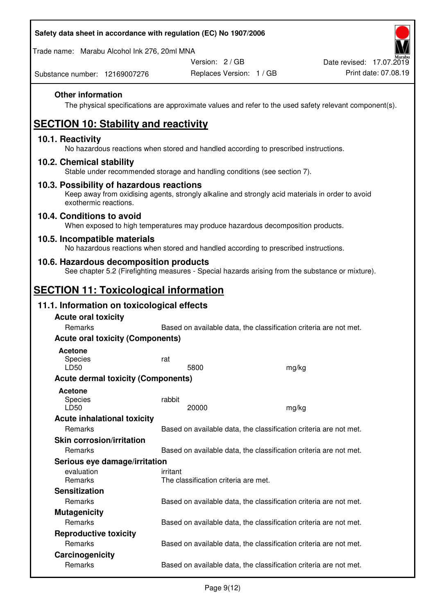Trade name: Marabu Alcohol Ink 276, 20ml MNA

Version: 2 / GB

Substance number: 12169007276

## **Other information**

The physical specifications are approximate values and refer to the used safety relevant component(s).

# **SECTION 10: Stability and reactivity**

## **10.1. Reactivity**

No hazardous reactions when stored and handled according to prescribed instructions.

## **10.2. Chemical stability**

Stable under recommended storage and handling conditions (see section 7).

## **10.3. Possibility of hazardous reactions**

Keep away from oxidising agents, strongly alkaline and strongly acid materials in order to avoid exothermic reactions.

## **10.4. Conditions to avoid**

When exposed to high temperatures may produce hazardous decomposition products.

## **10.5. Incompatible materials**

No hazardous reactions when stored and handled according to prescribed instructions.

## **10.6. Hazardous decomposition products**

See chapter 5.2 (Firefighting measures - Special hazards arising from the substance or mixture).

# **SECTION 11: Toxicological information**

## **11.1. Information on toxicological effects**

| <b>Acute oral toxicity</b><br><b>Remarks</b> | Based on available data, the classification criteria are not met. |       |
|----------------------------------------------|-------------------------------------------------------------------|-------|
| <b>Acute oral toxicity (Components)</b>      |                                                                   |       |
| <b>Acetone</b>                               |                                                                   |       |
| Species<br>LD50                              | rat<br>5800                                                       | mg/kg |
| <b>Acute dermal toxicity (Components)</b>    |                                                                   |       |
| <b>Acetone</b><br>Species<br>LD50            | rabbit<br>20000                                                   | mg/kg |
| <b>Acute inhalational toxicity</b>           |                                                                   |       |
| <b>Remarks</b>                               | Based on available data, the classification criteria are not met. |       |
| <b>Skin corrosion/irritation</b>             |                                                                   |       |
| Remarks                                      | Based on available data, the classification criteria are not met. |       |
| Serious eye damage/irritation                |                                                                   |       |
| evaluation<br><b>Remarks</b>                 | irritant<br>The classification criteria are met.                  |       |
| <b>Sensitization</b>                         |                                                                   |       |
| <b>Remarks</b>                               | Based on available data, the classification criteria are not met. |       |
| <b>Mutagenicity</b>                          |                                                                   |       |
| Remarks                                      | Based on available data, the classification criteria are not met. |       |
| <b>Reproductive toxicity</b>                 |                                                                   |       |
| Remarks                                      | Based on available data, the classification criteria are not met. |       |
| Carcinogenicity                              |                                                                   |       |
| Remarks                                      | Based on available data, the classification criteria are not met. |       |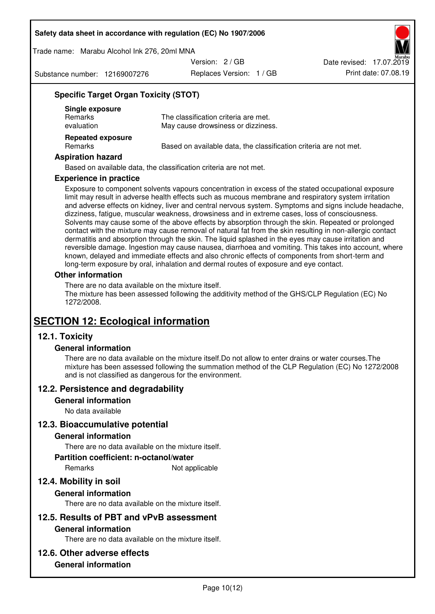Trade name: Marabu Alcohol Ink 276, 20ml MNA

Version: 2 / GB

Substance number: 12169007276

Replaces Version: 1 / GB Print date: 07.08.19 Date revised: 17.07.2019

## **Specific Target Organ Toxicity (STOT)**

| Single exposure<br><b>Remarks</b><br>evaluation | The classification criteria are met.<br>May cause drowsiness or dizziness. |
|-------------------------------------------------|----------------------------------------------------------------------------|
| <b>Repeated exposure</b><br>Remarks             | Based on available data, the classification criteria are not met.          |

#### **Aspiration hazard**

Based on available data, the classification criteria are not met.

#### **Experience in practice**

Exposure to component solvents vapours concentration in excess of the stated occupational exposure limit may result in adverse health effects such as mucous membrane and respiratory system irritation and adverse effects on kidney, liver and central nervous system. Symptoms and signs include headache, dizziness, fatigue, muscular weakness, drowsiness and in extreme cases, loss of consciousness. Solvents may cause some of the above effects by absorption through the skin. Repeated or prolonged contact with the mixture may cause removal of natural fat from the skin resulting in non-allergic contact dermatitis and absorption through the skin. The liquid splashed in the eyes may cause irritation and reversible damage. Ingestion may cause nausea, diarrhoea and vomiting. This takes into account, where known, delayed and immediate effects and also chronic effects of components from short-term and long-term exposure by oral, inhalation and dermal routes of exposure and eye contact.

#### **Other information**

There are no data available on the mixture itself. The mixture has been assessed following the additivity method of the GHS/CLP Regulation (EC) No 1272/2008.

# **SECTION 12: Ecological information**

## **12.1. Toxicity**

## **General information**

There are no data available on the mixture itself.Do not allow to enter drains or water courses.The mixture has been assessed following the summation method of the CLP Regulation (EC) No 1272/2008 and is not classified as dangerous for the environment.

## **12.2. Persistence and degradability**

#### **General information**

No data available

## **12.3. Bioaccumulative potential**

## **General information**

There are no data available on the mixture itself.

#### **Partition coefficient: n-octanol/water**

Remarks Not applicable

## **12.4. Mobility in soil**

## **General information**

There are no data available on the mixture itself.

## **12.5. Results of PBT and vPvB assessment**

#### **General information**

There are no data available on the mixture itself.

## **12.6. Other adverse effects**

## **General information**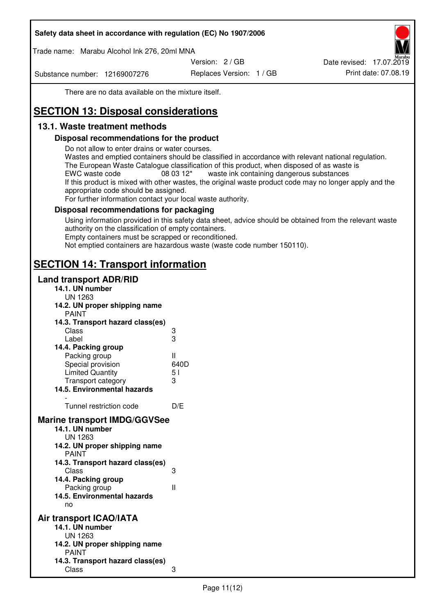Trade name: Marabu Alcohol Ink 276, 20ml MNA

Version: 2 / GB

Substance number: 12169007276

Replaces Version: 1 / GB Print date: 07.08.19 Date revised: 17.07.2019

There are no data available on the mixture itself.

# **SECTION 13: Disposal considerations**

## **13.1. Waste treatment methods**

## **Disposal recommendations for the product**

Do not allow to enter drains or water courses.

Wastes and emptied containers should be classified in accordance with relevant national regulation. The European Waste Catalogue classification of this product, when disposed of as waste is EWC waste code  $08\,03\,12^*$  waste ink containing dangerous substances If this product is mixed with other wastes, the original waste product code may no longer apply and the appropriate code should be assigned.

For further information contact your local waste authority.

## **Disposal recommendations for packaging**

Using information provided in this safety data sheet, advice should be obtained from the relevant waste authority on the classification of empty containers. Empty containers must be scrapped or reconditioned.

Not emptied containers are hazardous waste (waste code number 150110).

# **SECTION 14: Transport information**

## **Land transport ADR/RID**

| 14.1. UN number<br><b>UN 1263</b>                                                                                                                                                                                                            |                   |
|----------------------------------------------------------------------------------------------------------------------------------------------------------------------------------------------------------------------------------------------|-------------------|
| 14.2. UN proper shipping name                                                                                                                                                                                                                |                   |
| <b>PAINT</b>                                                                                                                                                                                                                                 |                   |
| 14.3. Transport hazard class(es)                                                                                                                                                                                                             |                   |
| Class                                                                                                                                                                                                                                        |                   |
| Label                                                                                                                                                                                                                                        | ვ<br>ვ            |
| 14.4. Packing group                                                                                                                                                                                                                          |                   |
| Packing group                                                                                                                                                                                                                                | Ш                 |
| Special provision                                                                                                                                                                                                                            | 640D              |
| <b>Limited Quantity</b>                                                                                                                                                                                                                      | 5 <sub>1</sub>    |
| Transport category                                                                                                                                                                                                                           | 3                 |
| 14.5. Environmental hazards                                                                                                                                                                                                                  |                   |
| Tunnel restriction code                                                                                                                                                                                                                      | D/E               |
|                                                                                                                                                                                                                                              |                   |
| <b>Marine transport IMDG/GGVSee</b><br>14.1. UN number<br>UN 1263<br>14.2. UN proper shipping name<br><b>PAINT</b><br>14.3. Transport hazard class(es)<br>Class<br>14.4. Packing group<br>Packing group<br>14.5. Environmental hazards<br>no | 3<br>$\mathbf{I}$ |
| Air transport ICAO/IATA                                                                                                                                                                                                                      |                   |
| 14.1. UN number                                                                                                                                                                                                                              |                   |
| UN 1263                                                                                                                                                                                                                                      |                   |
| 14.2. UN proper shipping name<br><b>PAINT</b>                                                                                                                                                                                                |                   |
| 14.3. Transport hazard class(es)                                                                                                                                                                                                             |                   |
| Class                                                                                                                                                                                                                                        | 3                 |
|                                                                                                                                                                                                                                              |                   |